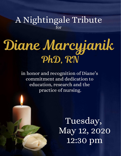# A Nightingale Tribute for

# Diane Marcyjanik PhD, RN

in honor and recognition of Diane's commitment and dedication to education, research and the practice of nursing.

> Tuesday, May 12, 2020 12:30 pm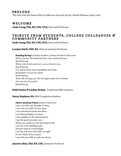### **PRELUDE**

The Girl with the Flaxen Hair (La fille aux cheveux de lin), Claude Debussy (1862-1918)

## **WELCOME**

Linda Young, PhD, RN, CNE, CFLE, Dean and Professor

# TRIBUTE FROM STUDENTS, COLLEGE COLLEAGUES & COMMUNITY PARTNERS

Linda Young, PhD, RN, CNE, CFLE, Dean and Professor

Lorraine Smith, DNP, RN, Clinical Assistant Professor

Standing Strong by Sandy Swallow, Lakota/Northern Cheyenne When you face the elements heat, rain, wind and snow Stand Strong When your loved ones leave you or deceive you Stand Strong You will be dealt many hardships and trails Remember you are not alone Stand Strong When life wrongs you, the strength comes from within, You can win if you just Stand Strong

#### Heidi Pardon & Lindsey Boehm, Traditional BSN students

#### Stacey Stephens, RN, BSN Completion Student

Native American Prayer (author unknown) I give you this, one thought to keep. I am with you still, I do not sleep. I am a thousand winds that blow, I am diamond glints on snow, I am sunlight on the ripened grain. I am the gentle autumn rain. When you awaken in the morning's hush, I am the swift uplifting rush… Of quiet birds in circled flight. I am the soft stars that shine at night. Do not think of me as gone - I am with you still, in each new dawn.

#### Jeanette Olsen, PhD, RN, CNE, Assistant Professor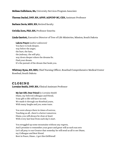#### Melissa Gullickson, BA, University Services Program Associate

#### Theresa Dachel, DNP, RN, APNP, AGPCNP-BC, CEN, Assistant Professor

Barbara Davis, MSN, RN, Retired faculty

CeCelia Zorn, PhD, RN, Professor Emerita

Linda Garriott, Executive Director of Tree of Life Ministries, Mission, South Dakota

Lakota Prayer (author unknown) You have to look deeper, way below the anger, the hurt, the hate, the jealousy, the self-pity, way down deeper where the dreams lie. Find your dream. It's the pursuit of the dream that heals you.

Whittney Ryan, RN, BSN, Chief Nursing Officer, Rosebud Comprehensive Medical Center Rosebud, South Dakota

# C L O S I N G

Lorraine Smith, DNP, RN, Clinical Assistant Professor

#### My last Gift, Dear Friend by Lorraine Smith

Diane, my beloved colleague and friend, Your gift to life will have no end. We made it through our Rosebud years, With many laughs and yes, some tears.

You were always there in times of sorrow, Teaching us all…there's a better tomorrow. Diane, you will always be close at heart With every last beat from each day's start.

You struggled up some mountains without any regrets, And I promise to remember your grace and great will as each sun sets Let's all pray to our Creator that someday he will send us all to see Diane, my Colleague and Best friend. Rest in Peace, Diane…I got this Girlfriend!